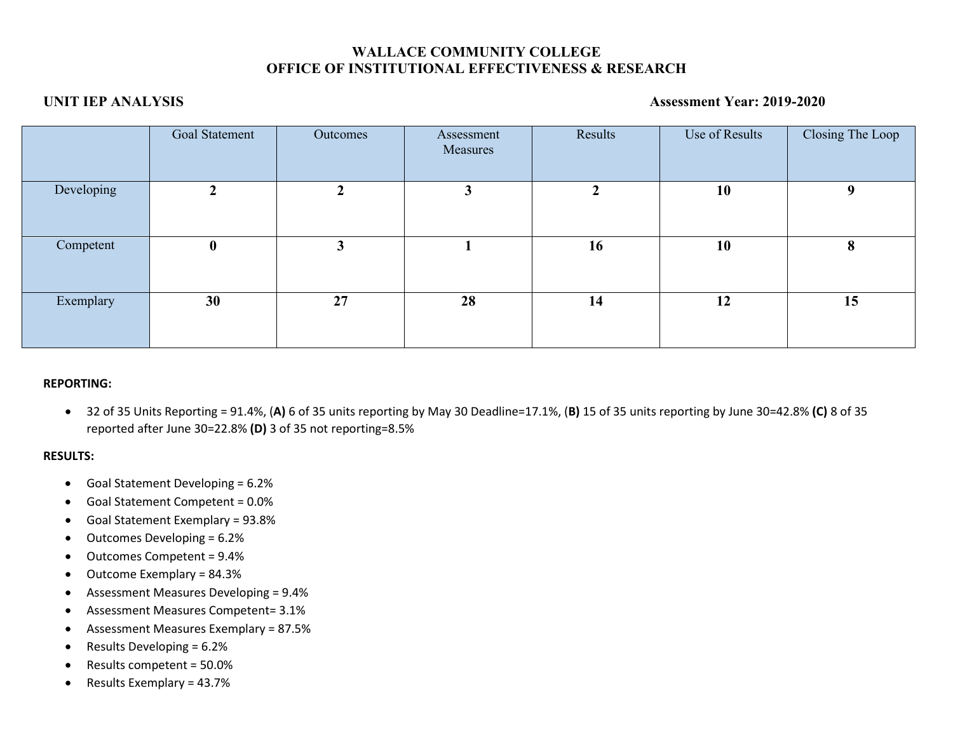# **WALLACE COMMUNITY COLLEGE OFFICE OF INSTITUTIONAL EFFECTIVENESS & RESEARCH**

## **UNIT IEP ANALYSIS Assessment Year: 2019-2020**

|            | Goal Statement | Outcomes | Assessment<br>Measures | Results | Use of Results | Closing The Loop |
|------------|----------------|----------|------------------------|---------|----------------|------------------|
| Developing |                | ◠        |                        | 2       | 10             | 9                |
| Competent  | $\bf{0}$       | 3        |                        | 16      | 10             | 8                |
| Exemplary  | 30             | 27       | 28                     | 14      | 12             | 15               |

## **REPORTING:**

• 32 of 35 Units Reporting = 91.4%, (**A)** 6 of 35 units reporting by May 30 Deadline=17.1%, (**B)** 15 of 35 units reporting by June 30=42.8% **(C)** 8 of 35 reported after June 30=22.8% **(D)** 3 of 35 not reporting=8.5%

## **RESULTS:**

- Goal Statement Developing = 6.2%
- Goal Statement Competent = 0.0%
- Goal Statement Exemplary = 93.8%
- Outcomes Developing = 6.2%
- Outcomes Competent = 9.4%
- Outcome Exemplary = 84.3%
- Assessment Measures Developing = 9.4%
- Assessment Measures Competent= 3.1%
- Assessment Measures Exemplary = 87.5%
- Results Developing = 6.2%
- Results competent = 50.0%
- Results Exemplary = 43.7%